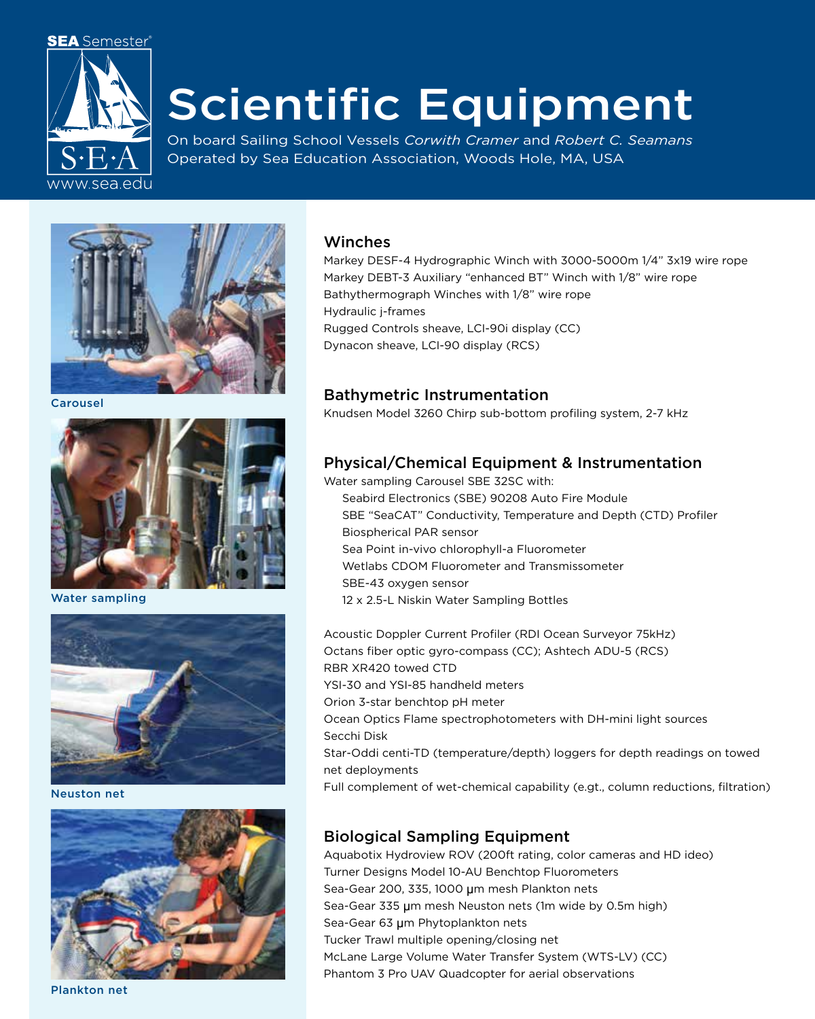

# Scientific Equipment

On board Sailing School Vessels *Corwith Cramer* and *Robert C. Seamans* Operated by Sea Education Association, Woods Hole, MA, USA



Carousel



Water sampling



Neuston net



Plankton net

#### Winches

Markey DESF-4 Hydrographic Winch with 3000-5000m 1/4" 3x19 wire rope Markey DEBT-3 Auxiliary "enhanced BT" Winch with 1/8" wire rope Bathythermograph Winches with 1/8" wire rope Hydraulic j-frames Rugged Controls sheave, LCI-90i display (CC) Dynacon sheave, LCI-90 display (RCS)

#### Bathymetric Instrumentation

Knudsen Model 3260 Chirp sub-bottom profiling system, 2-7 kHz

# Physical/Chemical Equipment & Instrumentation

- Water sampling Carousel SBE 32SC with: Seabird Electronics (SBE) 90208 Auto Fire Module SBE "SeaCAT" Conductivity, Temperature and Depth (CTD) Profiler Biospherical PAR sensor Sea Point in-vivo chlorophyll-a Fluorometer Wetlabs CDOM Fluorometer and Transmissometer
	- SBE-43 oxygen sensor
	- 12 x 2.5-L Niskin Water Sampling Bottles

Acoustic Doppler Current Profiler (RDI Ocean Surveyor 75kHz) Octans fiber optic gyro-compass (CC); Ashtech ADU-5 (RCS) RBR XR420 towed CTD YSI-30 and YSI-85 handheld meters Orion 3-star benchtop pH meter Ocean Optics Flame spectrophotometers with DH-mini light sources Secchi Disk Star-Oddi centi-TD (temperature/depth) loggers for depth readings on towed net deployments Full complement of wet-chemical capability (e.gt., column reductions, filtration)

# Biological Sampling Equipment

Aquabotix Hydroview ROV (200ft rating, color cameras and HD ideo) Turner Designs Model 10-AU Benchtop Fluorometers Sea-Gear 200, 335, 1000 μm mesh Plankton nets Sea-Gear 335 μm mesh Neuston nets (1m wide by 0.5m high) Sea-Gear 63 μm Phytoplankton nets Tucker Trawl multiple opening/closing net McLane Large Volume Water Transfer System (WTS-LV) (CC) Phantom 3 Pro UAV Quadcopter for aerial observations